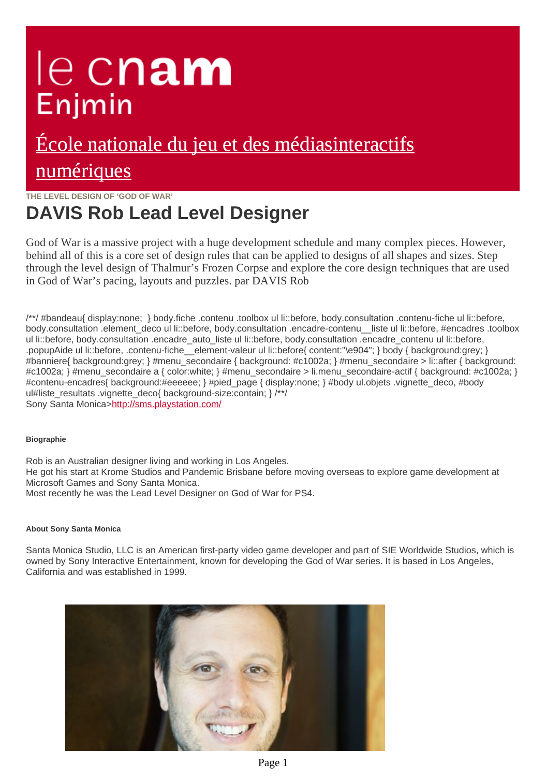# le cnam Enjmin

## [École nationale du jeu et des médiasinteractifs](https://enjmin.cnam.fr/) numériques

**THE LEVEL DESIGN OF 'GOD OF WAR'**

### **DAVIS Rob Lead Level Designer**

God of War is a massive project with a huge development schedule and many complex pieces. However, behind all of this is a core set of design rules that can be applied to designs of all shapes and sizes.
Step through the level design of Thalmur's Frozen Corpse and explore the core design techniques that are used in God of War's pacing, layouts and puzzles. par DAVIS Rob

/\*\*/ #bandeau{ display:none; } body.fiche .contenu .toolbox ul li::before, body.consultation .contenu-fiche ul li::before, body.consultation .element deco ul li::before, body.consultation .encadre-contenu liste ul li::before, #encadres .toolbox ul li::before, body.consultation .encadre\_auto\_liste ul li::before, body.consultation .encadre\_contenu ul li::before, .popupAide ul li::before, .contenu-fiche\_element-valeur ul li::before{ content:"\e904"; } body { background:grey; } #banniere{ background:grey; } #menu\_secondaire { background: #c1002a; } #menu\_secondaire > li::after { backgroun #c1002a; } #menu\_secondaire a { color:white; } #menu\_secondaire > li.menu\_secondaire-actif { background: #c1002 #contenu-encadres{ background:#eeeeee; } #pied page { display:none; } #body ul.objets .vignette\_deco, #body ul#liste\_resultats .vignette\_deco{ background-size:contain; }/\*/ Sony Santa Monica><http://sms.playstation.com/>

### **Biographie**

Rob is an Australian designer living and working in Los Angeles. He got his start at Krome Studios and Pandemic Brisbane before moving overseas to explore game development at Microsoft Games and Sony Santa Monica. Most recently he was the Lead Level Designer on God of War for PS4.

#### **About Sony Santa Monica**

Santa Monica Studio, LLC is an American first-party video game developer and part of SIE Worldwide Studios, which is owned by Sony Interactive Entertainment, known for developing the God of War series. It is based in Los Angeles, California and was established in 1999.